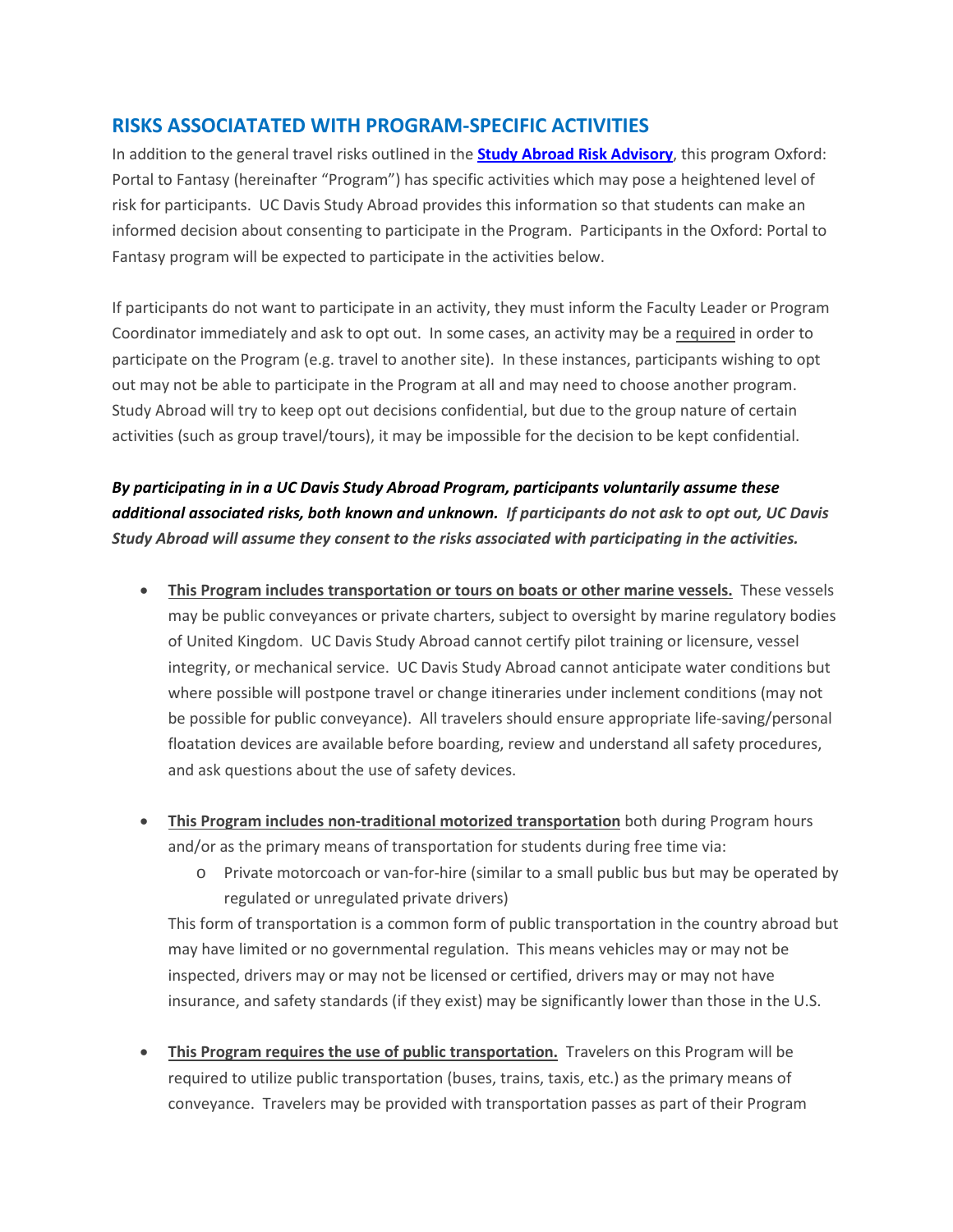## **RISKS ASSOCIATATED WITH PROGRAM-SPECIFIC ACTIVITIES**

In addition to the general travel risks outlined in the **[Study Abroad Risk Advisory](http://studyabroad.ucdavis.edu/students/healthandsafety_risk.html)**, this program Oxford: Portal to Fantasy (hereinafter "Program") has specific activities which may pose a heightened level of risk for participants. UC Davis Study Abroad provides this information so that students can make an informed decision about consenting to participate in the Program. Participants in the Oxford: Portal to Fantasy program will be expected to participate in the activities below.

If participants do not want to participate in an activity, they must inform the Faculty Leader or Program Coordinator immediately and ask to opt out. In some cases, an activity may be a required in order to participate on the Program (e.g. travel to another site). In these instances, participants wishing to opt out may not be able to participate in the Program at all and may need to choose another program. Study Abroad will try to keep opt out decisions confidential, but due to the group nature of certain activities (such as group travel/tours), it may be impossible for the decision to be kept confidential.

*By participating in in a UC Davis Study Abroad Program, participants voluntarily assume these additional associated risks, both known and unknown. If participants do not ask to opt out, UC Davis Study Abroad will assume they consent to the risks associated with participating in the activities.* 

- **This Program includes transportation or tours on boats or other marine vessels.** These vessels may be public conveyances or private charters, subject to oversight by marine regulatory bodies of United Kingdom. UC Davis Study Abroad cannot certify pilot training or licensure, vessel integrity, or mechanical service. UC Davis Study Abroad cannot anticipate water conditions but where possible will postpone travel or change itineraries under inclement conditions (may not be possible for public conveyance). All travelers should ensure appropriate life-saving/personal floatation devices are available before boarding, review and understand all safety procedures, and ask questions about the use of safety devices.
- **This Program includes non-traditional motorized transportation** both during Program hours and/or as the primary means of transportation for students during free time via:
	- o Private motorcoach or van-for-hire (similar to a small public bus but may be operated by regulated or unregulated private drivers)

This form of transportation is a common form of public transportation in the country abroad but may have limited or no governmental regulation. This means vehicles may or may not be inspected, drivers may or may not be licensed or certified, drivers may or may not have insurance, and safety standards (if they exist) may be significantly lower than those in the U.S.

• **This Program requires the use of public transportation.** Travelers on this Program will be required to utilize public transportation (buses, trains, taxis, etc.) as the primary means of conveyance. Travelers may be provided with transportation passes as part of their Program